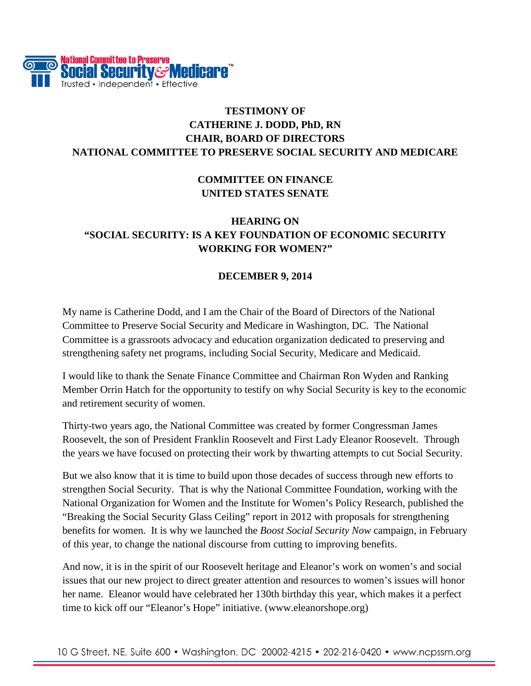

# **TESTIMONY OF CATHERINE J. DODD, PhD, RN CHAIR, BOARD OF DIRECTORS NATIONAL COMMITTEE TO PRESERVE SOCIAL SECURITY AND MEDICARE**

# **COMMITTEE ON FINANCE UNITED STATES SENATE**

# **HEARING ON "SOCIAL SECURITY: IS A KEY FOUNDATION OF ECONOMIC SECURITY WORKING FOR WOMEN?"**

#### **DECEMBER 9, 2014**

My name is Catherine Dodd, and I am the Chair of the Board of Directors of the National Committee to Preserve Social Security and Medicare in Washington, DC. The National Committee is a grassroots advocacy and education organization dedicated to preserving and strengthening safety net programs, including Social Security, Medicare and Medicaid.

I would like to thank the Senate Finance Committee and Chairman Ron Wyden and Ranking Member Orrin Hatch for the opportunity to testify on why Social Security is key to the economic and retirement security of women.

Thirty-two years ago, the National Committee was created by former Congressman James Roosevelt, the son of President Franklin Roosevelt and First Lady Eleanor Roosevelt. Through the years we have focused on protecting their work by thwarting attempts to cut Social Security.

But we also know that it is time to build upon those decades of success through new efforts to strengthen Social Security. That is why the National Committee Foundation, working with the National Organization for Women and the Institute for Women's Policy Research, published the "Breaking the Social Security Glass Ceiling" report in 2012 with proposals for strengthening benefits for women. It is why we launched the *Boost Social Security Now* campaign, in February of this year, to change the national discourse from cutting to improving benefits.

And now, it is in the spirit of our Roosevelt heritage and Eleanor's work on women's and social issues that our new project to direct greater attention and resources to women's issues will honor her name. Eleanor would have celebrated her 130th birthday this year, which makes it a perfect time to kick off our "Eleanor's Hope" initiative. (www.eleanorshope.org)

10 G Street, NE, Suite 600 • Washington, DC 20002-4215 • 202-216-0420 • www.ncpssm.org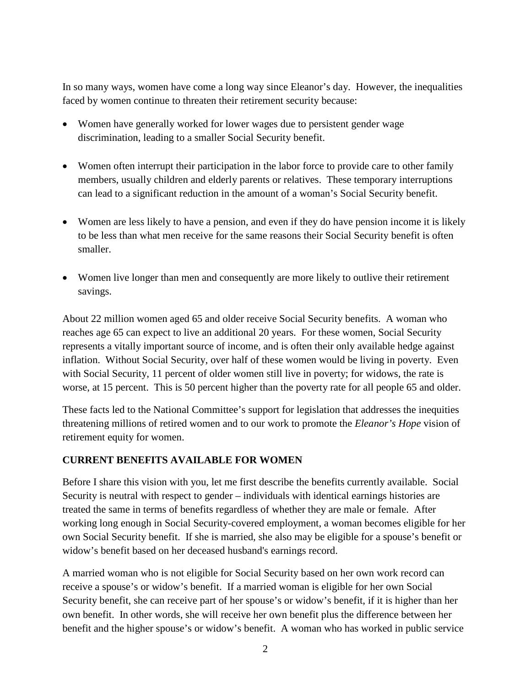In so many ways, women have come a long way since Eleanor's day. However, the inequalities faced by women continue to threaten their retirement security because:

- Women have generally worked for lower wages due to persistent gender wage discrimination, leading to a smaller Social Security benefit.
- Women often interrupt their participation in the labor force to provide care to other family members, usually children and elderly parents or relatives. These temporary interruptions can lead to a significant reduction in the amount of a woman's Social Security benefit.
- Women are less likely to have a pension, and even if they do have pension income it is likely to be less than what men receive for the same reasons their Social Security benefit is often smaller.
- Women live longer than men and consequently are more likely to outlive their retirement savings.

About 22 million women aged 65 and older receive Social Security benefits. A woman who reaches age 65 can expect to live an additional 20 years. For these women, Social Security represents a vitally important source of income, and is often their only available hedge against inflation. Without Social Security, over half of these women would be living in poverty. Even with Social Security, 11 percent of older women still live in poverty; for widows, the rate is worse, at 15 percent. This is 50 percent higher than the poverty rate for all people 65 and older.

These facts led to the National Committee's support for legislation that addresses the inequities threatening millions of retired women and to our work to promote the *Eleanor's Hope* vision of retirement equity for women.

### **CURRENT BENEFITS AVAILABLE FOR WOMEN**

Before I share this vision with you, let me first describe the benefits currently available. Social Security is neutral with respect to gender – individuals with identical earnings histories are treated the same in terms of benefits regardless of whether they are male or female. After working long enough in Social Security-covered employment, a woman becomes eligible for her own Social Security benefit. If she is married, she also may be eligible for a spouse's benefit or widow's benefit based on her deceased husband's earnings record.

A married woman who is not eligible for Social Security based on her own work record can receive a spouse's or widow's benefit. If a married woman is eligible for her own Social Security benefit, she can receive part of her spouse's or widow's benefit, if it is higher than her own benefit. In other words, she will receive her own benefit plus the difference between her benefit and the higher spouse's or widow's benefit. A woman who has worked in public service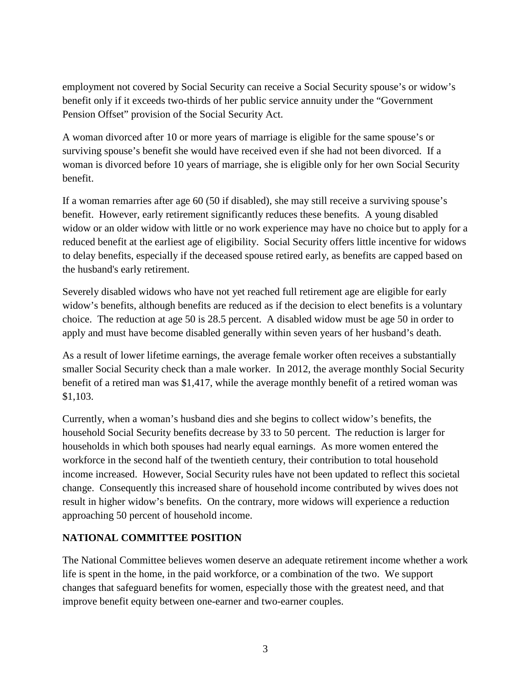employment not covered by Social Security can receive a Social Security spouse's or widow's benefit only if it exceeds two-thirds of her public service annuity under the "Government Pension Offset" provision of the Social Security Act.

A woman divorced after 10 or more years of marriage is eligible for the same spouse's or surviving spouse's benefit she would have received even if she had not been divorced. If a woman is divorced before 10 years of marriage, she is eligible only for her own Social Security benefit.

If a woman remarries after age 60 (50 if disabled), she may still receive a surviving spouse's benefit. However, early retirement significantly reduces these benefits. A young disabled widow or an older widow with little or no work experience may have no choice but to apply for a reduced benefit at the earliest age of eligibility. Social Security offers little incentive for widows to delay benefits, especially if the deceased spouse retired early, as benefits are capped based on the husband's early retirement.

Severely disabled widows who have not yet reached full retirement age are eligible for early widow's benefits, although benefits are reduced as if the decision to elect benefits is a voluntary choice. The reduction at age 50 is 28.5 percent. A disabled widow must be age 50 in order to apply and must have become disabled generally within seven years of her husband's death.

As a result of lower lifetime earnings, the average female worker often receives a substantially smaller Social Security check than a male worker. In 2012, the average monthly Social Security benefit of a retired man was \$1,417, while the average monthly benefit of a retired woman was \$1,103.

Currently, when a woman's husband dies and she begins to collect widow's benefits, the household Social Security benefits decrease by 33 to 50 percent. The reduction is larger for households in which both spouses had nearly equal earnings. As more women entered the workforce in the second half of the twentieth century, their contribution to total household income increased. However, Social Security rules have not been updated to reflect this societal change. Consequently this increased share of household income contributed by wives does not result in higher widow's benefits. On the contrary, more widows will experience a reduction approaching 50 percent of household income.

### **NATIONAL COMMITTEE POSITION**

The National Committee believes women deserve an adequate retirement income whether a work life is spent in the home, in the paid workforce, or a combination of the two. We support changes that safeguard benefits for women, especially those with the greatest need, and that improve benefit equity between one-earner and two-earner couples.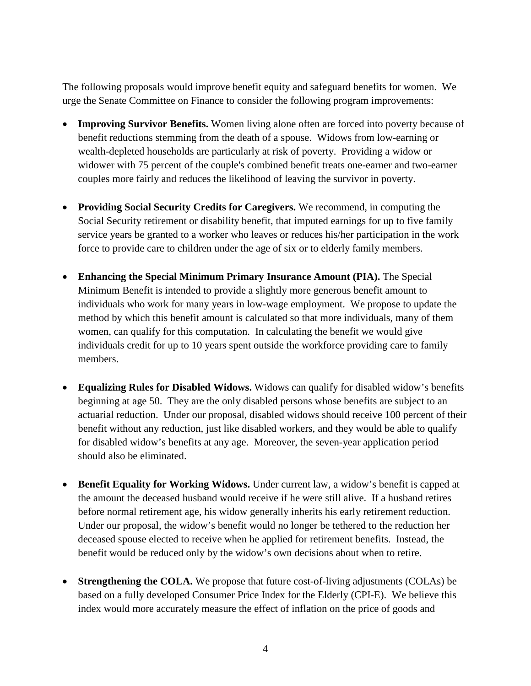The following proposals would improve benefit equity and safeguard benefits for women. We urge the Senate Committee on Finance to consider the following program improvements:

- **Improving Survivor Benefits.** Women living alone often are forced into poverty because of benefit reductions stemming from the death of a spouse. Widows from low-earning or wealth-depleted households are particularly at risk of poverty. Providing a widow or widower with 75 percent of the couple's combined benefit treats one-earner and two-earner couples more fairly and reduces the likelihood of leaving the survivor in poverty.
- **Providing Social Security Credits for Caregivers.** We recommend, in computing the Social Security retirement or disability benefit, that imputed earnings for up to five family service years be granted to a worker who leaves or reduces his/her participation in the work force to provide care to children under the age of six or to elderly family members.
- **Enhancing the Special Minimum Primary Insurance Amount (PIA).** The Special Minimum Benefit is intended to provide a slightly more generous benefit amount to individuals who work for many years in low-wage employment. We propose to update the method by which this benefit amount is calculated so that more individuals, many of them women, can qualify for this computation. In calculating the benefit we would give individuals credit for up to 10 years spent outside the workforce providing care to family members.
- **Equalizing Rules for Disabled Widows.** Widows can qualify for disabled widow's benefits beginning at age 50. They are the only disabled persons whose benefits are subject to an actuarial reduction. Under our proposal, disabled widows should receive 100 percent of their benefit without any reduction, just like disabled workers, and they would be able to qualify for disabled widow's benefits at any age. Moreover, the seven-year application period should also be eliminated.
- **Benefit Equality for Working Widows.** Under current law, a widow's benefit is capped at the amount the deceased husband would receive if he were still alive. If a husband retires before normal retirement age, his widow generally inherits his early retirement reduction. Under our proposal, the widow's benefit would no longer be tethered to the reduction her deceased spouse elected to receive when he applied for retirement benefits. Instead, the benefit would be reduced only by the widow's own decisions about when to retire.
- **Strengthening the COLA.** We propose that future cost-of-living adjustments (COLAs) be based on a fully developed Consumer Price Index for the Elderly (CPI-E). We believe this index would more accurately measure the effect of inflation on the price of goods and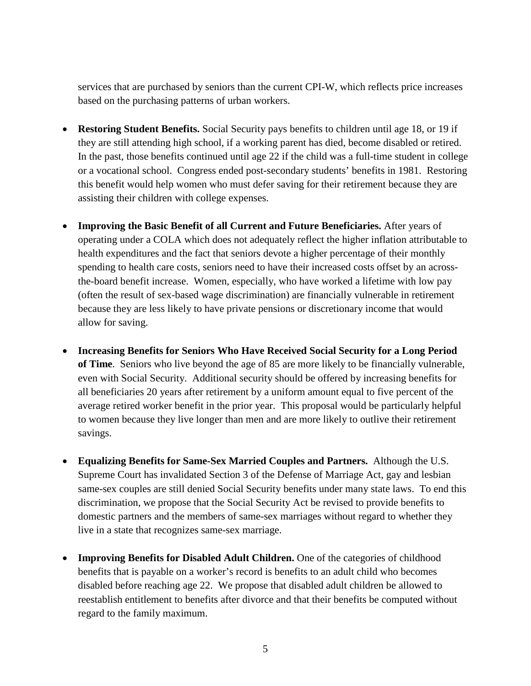services that are purchased by seniors than the current CPI-W, which reflects price increases based on the purchasing patterns of urban workers.

- **Restoring Student Benefits.** Social Security pays benefits to children until age 18, or 19 if they are still attending high school, if a working parent has died, become disabled or retired. In the past, those benefits continued until age 22 if the child was a full-time student in college or a vocational school. Congress ended post-secondary students' benefits in 1981. Restoring this benefit would help women who must defer saving for their retirement because they are assisting their children with college expenses.
- **Improving the Basic Benefit of all Current and Future Beneficiaries.** After years of operating under a COLA which does not adequately reflect the higher inflation attributable to health expenditures and the fact that seniors devote a higher percentage of their monthly spending to health care costs, seniors need to have their increased costs offset by an acrossthe-board benefit increase. Women, especially, who have worked a lifetime with low pay (often the result of sex-based wage discrimination) are financially vulnerable in retirement because they are less likely to have private pensions or discretionary income that would allow for saving.
- **Increasing Benefits for Seniors Who Have Received Social Security for a Long Period of Time**. Seniors who live beyond the age of 85 are more likely to be financially vulnerable, even with Social Security. Additional security should be offered by increasing benefits for all beneficiaries 20 years after retirement by a uniform amount equal to five percent of the average retired worker benefit in the prior year. This proposal would be particularly helpful to women because they live longer than men and are more likely to outlive their retirement savings.
- **Equalizing Benefits for Same-Sex Married Couples and Partners.** Although the U.S. Supreme Court has invalidated Section 3 of the Defense of Marriage Act, gay and lesbian same-sex couples are still denied Social Security benefits under many state laws. To end this discrimination, we propose that the Social Security Act be revised to provide benefits to domestic partners and the members of same-sex marriages without regard to whether they live in a state that recognizes same-sex marriage.
- **Improving Benefits for Disabled Adult Children.** One of the categories of childhood benefits that is payable on a worker's record is benefits to an adult child who becomes disabled before reaching age 22. We propose that disabled adult children be allowed to reestablish entitlement to benefits after divorce and that their benefits be computed without regard to the family maximum.